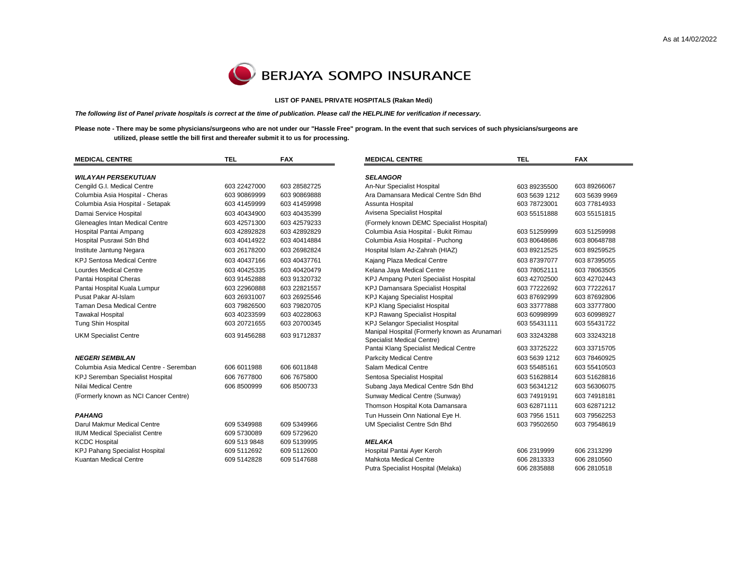$\overline{\phantom{0}}$ 



## **LIST OF PANEL PRIVATE HOSPITALS (Rakan Medi)**

*The following list of Panel private hospitals is correct at the time of publication. Please call the HELPLINE for verification if necessary.*

**Please note - There may be some physicians/surgeons who are not under our "Hassle Free" program. In the event that such services of such physicians/surgeons are utilized, please settle the bill first and thereafer submit it to us for processing.**

| <b>MEDICAL CENTRE</b>                   | <b>TEL</b>   | <b>FAX</b>   | <b>MEDICAL CENTRE</b>                                                       | <b>TEL</b>    | <b>FAX</b>    |
|-----------------------------------------|--------------|--------------|-----------------------------------------------------------------------------|---------------|---------------|
| <b>WILAYAH PERSEKUTUAN</b>              |              |              | <b>SELANGOR</b>                                                             |               |               |
| Cengild G.I. Medical Centre             | 603 22427000 | 603 28582725 | An-Nur Specialist Hospital                                                  | 603 89235500  | 603 89266067  |
| Columbia Asia Hospital - Cheras         | 603 90869999 | 603 90869888 | Ara Damansara Medical Centre Sdn Bhd                                        | 603 5639 1212 | 603 5639 9969 |
| Columbia Asia Hospital - Setapak        | 603 41459999 | 603 41459998 | Assunta Hospital                                                            | 603 78723001  | 603 77814933  |
| Damai Service Hospital                  | 603 40434900 | 603 40435399 | Avisena Specialist Hospital                                                 | 603 55151888  | 603 55151815  |
| Gleneagles Intan Medical Centre         | 603 42571300 | 603 42579233 | (Formely known DEMC Specialist Hospital)                                    |               |               |
| Hospital Pantai Ampang                  | 603 42892828 | 603 42892829 | Columbia Asia Hospital - Bukit Rimau                                        | 603 51259999  | 603 51259998  |
| Hospital Pusrawi Sdn Bhd                | 603 40414922 | 603 40414884 | Columbia Asia Hospital - Puchong                                            | 603 80648686  | 603 80648788  |
| Institute Jantung Negara                | 603 26178200 | 603 26982824 | Hospital Islam Az-Zahrah (HIAZ)                                             | 603 89212525  | 603 89259525  |
| <b>KPJ Sentosa Medical Centre</b>       | 603 40437166 | 603 40437761 | Kajang Plaza Medical Centre                                                 | 603 87397077  | 603 87395055  |
| <b>Lourdes Medical Centre</b>           | 603 40425335 | 603 40420479 | Kelana Jaya Medical Centre                                                  | 603 78052111  | 603 78063505  |
| Pantai Hospital Cheras                  | 603 91452888 | 603 91320732 | KPJ Ampang Puteri Specialist Hospital                                       | 603 42702500  | 603 42702443  |
| Pantai Hospital Kuala Lumpur            | 603 22960888 | 603 22821557 | <b>KPJ Damansara Specialist Hospital</b>                                    | 603 77222692  | 603 77222617  |
| Pusat Pakar Al-Islam                    | 603 26931007 | 603 26925546 | <b>KPJ Kajang Specialist Hospital</b>                                       | 603 87692999  | 603 87692806  |
| <b>Taman Desa Medical Centre</b>        | 603 79826500 | 603 79820705 | <b>KPJ Klang Specialist Hospital</b>                                        | 603 33777888  | 603 33777800  |
| <b>Tawakal Hospital</b>                 | 603 40233599 | 603 40228063 | <b>KPJ Rawang Specialist Hospital</b>                                       | 603 60998999  | 603 60998927  |
| Tung Shin Hospital                      | 603 20721655 | 603 20700345 | <b>KPJ Selangor Specialist Hospital</b>                                     | 603 55431111  | 603 55431722  |
| <b>UKM Specialist Centre</b>            | 603 91456288 | 603 91712837 | Manipal Hospital (Formerly known as Arunamari<br>Specialist Medical Centre) | 603 33243288  | 603 33243218  |
|                                         |              |              | Pantai Klang Specialist Medical Centre                                      | 603 33725222  | 603 33715705  |
| <b>NEGERI SEMBILAN</b>                  |              |              | <b>Parkcity Medical Centre</b>                                              | 603 5639 1212 | 603 78460925  |
| Columbia Asia Medical Centre - Seremban | 606 6011988  | 606 6011848  | Salam Medical Centre                                                        | 603 55485161  | 603 55410503  |
| KPJ Seremban Specialist Hospital        | 606 7677800  | 606 7675800  | Sentosa Specialist Hospital                                                 | 603 51628814  | 603 51628816  |
| Nilai Medical Centre                    | 606 8500999  | 606 8500733  | Subang Jaya Medical Centre Sdn Bhd                                          | 603 56341212  | 603 56306075  |
| (Formerly known as NCI Cancer Centre)   |              |              | Sunway Medical Centre (Sunway)                                              | 603 74919191  | 603 74918181  |
|                                         |              |              | Thomson Hospital Kota Damansara                                             | 603 62871111  | 603 62871212  |
| <b>PAHANG</b>                           |              |              | Tun Hussein Onn National Eye H.                                             | 603 7956 1511 | 603 79562253  |
| Darul Makmur Medical Centre             | 609 5349988  | 609 5349966  | UM Specialist Centre Sdn Bhd                                                | 603 79502650  | 603 79548619  |
| <b>IIUM Medical Specialist Centre</b>   | 609 5730089  | 609 5729620  |                                                                             |               |               |
| <b>KCDC Hospital</b>                    | 609 513 9848 | 609 5139995  | <b>MELAKA</b>                                                               |               |               |
| KPJ Pahang Specialist Hospital          | 609 5112692  | 609 5112600  | Hospital Pantai Ayer Keroh                                                  | 606 2319999   | 606 2313299   |
| Kuantan Medical Centre                  | 609 5142828  | 609 5147688  | <b>Mahkota Medical Centre</b>                                               | 606 2813333   | 606 2810560   |
|                                         |              |              | Putra Specialist Hospital (Melaka)                                          | 606 2835888   | 606 2810518   |